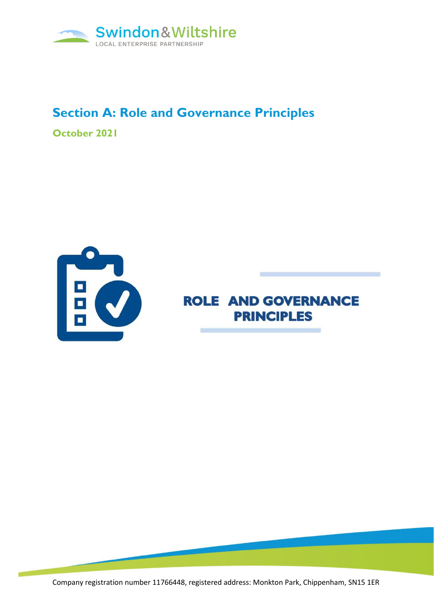

## **Section A: Role and Governance Principles**

**October 2021**



**ROLE AND GOVERNANCE PRINCIPLES** 

Company registration number 11766448, registered address: Monkton Park, Chippenham, SN15 1ER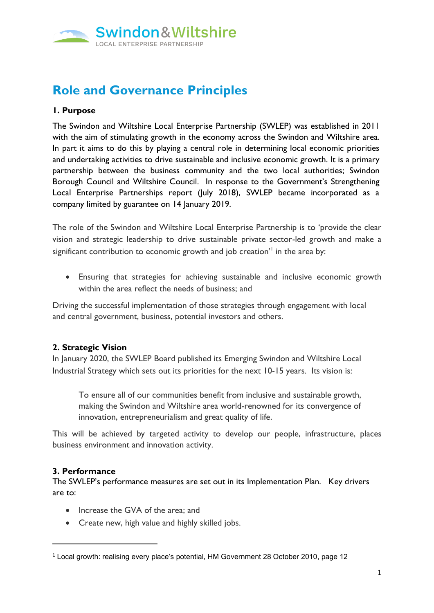

# **Role and Governance Principles**

#### **1. Purpose**

The Swindon and Wiltshire Local Enterprise Partnership (SWLEP) was established in 2011 with the aim of stimulating growth in the economy across the Swindon and Wiltshire area. In part it aims to do this by playing a central role in determining local economic priorities and undertaking activities to drive sustainable and inclusive economic growth. It is a primary partnership between the business community and the two local authorities; Swindon Borough Council and Wiltshire Council. In response to the Government's Strengthening Local Enterprise Partnerships report (July 2018), SWLEP became incorporated as a company limited by guarantee on 14 January 2019.

The role of the Swindon and Wiltshire Local Enterprise Partnership is to 'provide the clear vision and strategic leadership to drive sustainable private sector-led growth and make a significant contribution to economic growth and job creation'<sup>1</sup> in the area by:

• Ensuring that strategies for achieving sustainable and inclusive economic growth within the area reflect the needs of business; and

Driving the successful implementation of those strategies through engagement with local and central government, business, potential investors and others.

#### **2. Strategic Vision**

In January 2020, the SWLEP Board published its Emerging Swindon and Wiltshire Local Industrial Strategy which sets out its priorities for the next 10-15 years. Its vision is:

To ensure all of our communities benefit from inclusive and sustainable growth, making the Swindon and Wiltshire area world-renowned for its convergence of innovation, entrepreneurialism and great quality of life.

This will be achieved by targeted activity to develop our people, infrastructure, places business environment and innovation activity.

#### **3. Performance**

The SWLEP's performance measures are set out in its Implementation Plan. Key drivers are to:

- Increase the GVA of the area; and
- Create new, high value and highly skilled jobs.

<sup>1</sup> Local growth: realising every place's potential, HM Government 28 October 2010, page 12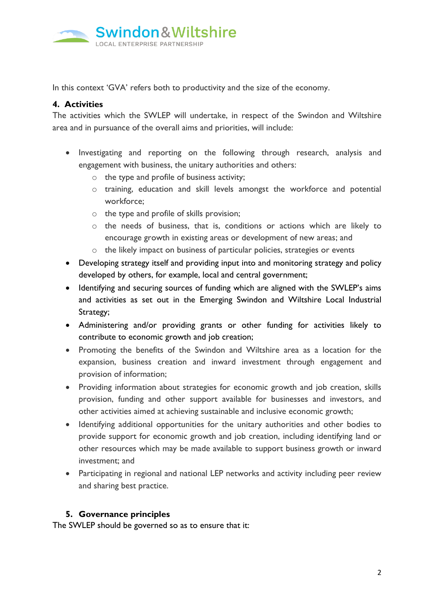

In this context 'GVA' refers both to productivity and the size of the economy.

### **4. Activities**

The activities which the SWLEP will undertake, in respect of the Swindon and Wiltshire area and in pursuance of the overall aims and priorities, will include:

- Investigating and reporting on the following through research, analysis and engagement with business, the unitary authorities and others:
	- o the type and profile of business activity;
	- o training, education and skill levels amongst the workforce and potential workforce;
	- o the type and profile of skills provision;
	- o the needs of business, that is, conditions or actions which are likely to encourage growth in existing areas or development of new areas; and
	- o the likely impact on business of particular policies, strategies or events
- Developing strategy itself and providing input into and monitoring strategy and policy developed by others, for example, local and central government;
- Identifying and securing sources of funding which are aligned with the SWLEP's aims and activities as set out in the Emerging Swindon and Wiltshire Local Industrial Strategy;
- Administering and/or providing grants or other funding for activities likely to contribute to economic growth and job creation;
- Promoting the benefits of the Swindon and Wiltshire area as a location for the expansion, business creation and inward investment through engagement and provision of information;
- Providing information about strategies for economic growth and job creation, skills provision, funding and other support available for businesses and investors, and other activities aimed at achieving sustainable and inclusive economic growth;
- Identifying additional opportunities for the unitary authorities and other bodies to provide support for economic growth and job creation, including identifying land or other resources which may be made available to support business growth or inward investment; and
- Participating in regional and national LEP networks and activity including peer review and sharing best practice.

#### **5. Governance principles**

The SWLEP should be governed so as to ensure that it: